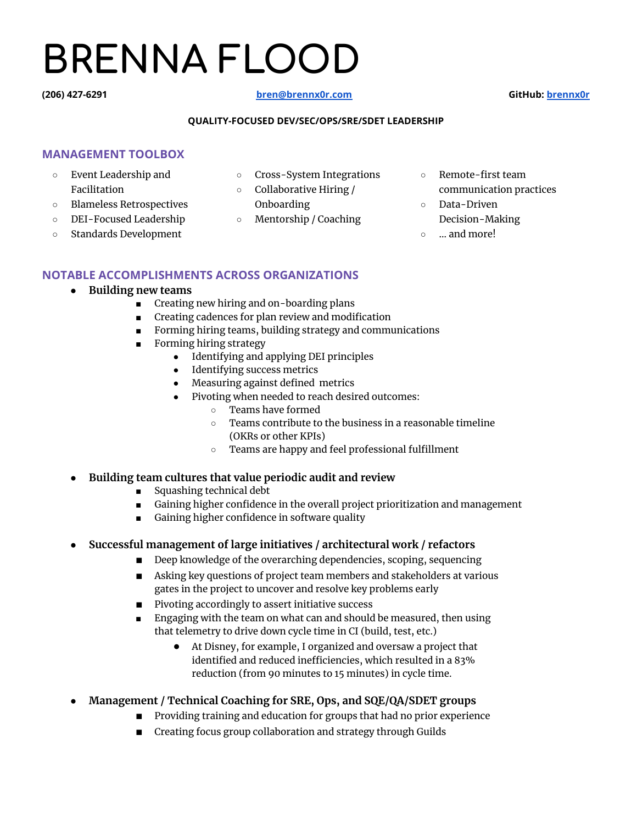# **BRENNA FLOOD**

#### **(206) 427-6291 [bren@brennx0r.com](mailto:bren@brennx0r.com) GitHub: [brennx0r](http://github.com/brennx0r)**

#### **QUALITY-FOCUSED DEV/SEC/OPS/SRE/SDET LEADERSHIP**

## **MANAGEMENT TOOLBOX**

- Event Leadership and Facilitation
- Blameless Retrospectives
- DEI-Focused Leadership
- Standards Development
- Cross-System Integrations
- Collaborative Hiring / Onboarding
- Mentorship / Coaching
- Remote-first team communication practices
- Data-Driven
- Decision-Making
- … and more!

## **NOTABLE ACCOMPLISHMENTS ACROSS ORGANIZATIONS**

- **● Building new teams**
	- Creating new hiring and on-boarding plans
	- Creating cadences for plan review and modification
	- Forming hiring teams, building strategy and communications
	- Forming hiring strategy
		- Identifying and applying DEI principles
		- Identifying success metrics
		- Measuring against defined metrics
		- Pivoting when needed to reach desired outcomes:
			- Teams have formed
			- Teams contribute to the business in a reasonable timeline (OKRs or other KPIs)
			- Teams are happy and feel professional fulfillment
- **● Building team cultures that value periodic audit and review**
	- Squashing technical debt
	- Gaining higher confidence in the overall project prioritization and management
	- Gaining higher confidence in software quality
- **● Successful management of large initiatives / architectural work / refactors**
	- Deep knowledge of the overarching dependencies, scoping, sequencing
	- Asking key questions of project team members and stakeholders at various gates in the project to uncover and resolve key problems early
	- Pivoting accordingly to assert initiative success
	- Engaging with the team on what can and should be measured, then using that telemetry to drive down cycle time in CI (build, test, etc.)
		- At Disney, for example, I organized and oversaw a project that identified and reduced inefficiencies, which resulted in a 83% reduction (from 90 minutes to 15 minutes) in cycle time.
- **● Management / Technical Coaching for SRE, Ops, and SQE/QA/SDET groups**
	- Providing training and education for groups that had no prior experience
	- Creating focus group collaboration and strategy through Guilds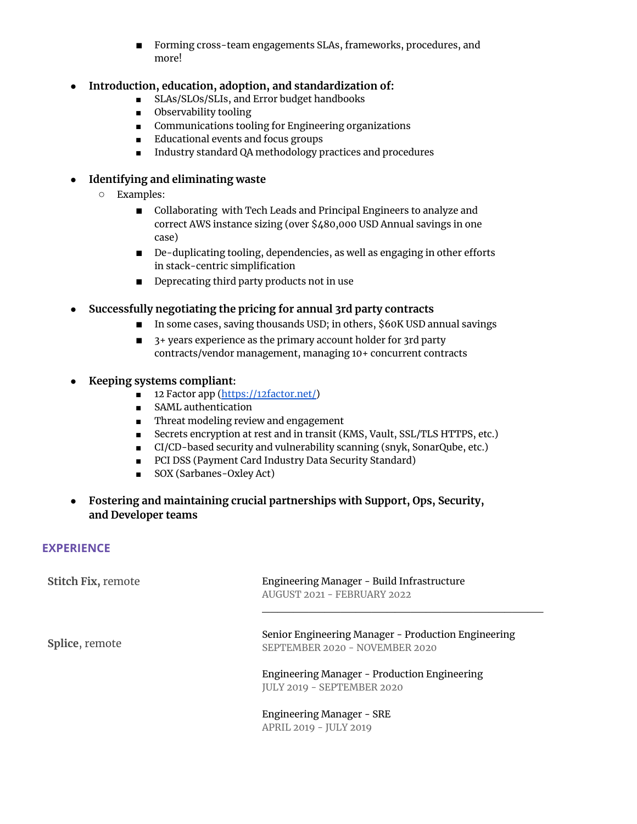■ Forming cross-team engagements SLAs, frameworks, procedures, and more!

## **● Introduction, education, adoption, and standardization of:**

- SLAs/SLOs/SLIs, and Error budget handbooks
- Observability tooling
- Communications tooling for Engineering organizations
- Educational events and focus groups
- Industry standard QA methodology practices and procedures

## **● Identifying and eliminating waste**

- Examples:
	- Collaborating with Tech Leads and Principal Engineers to analyze and correct AWS instance sizing (over \$480,000 USD Annual savings in one case)
	- De-duplicating tooling, dependencies, as well as engaging in other efforts in stack-centric simplification
	- Deprecating third party products not in use
- **● Successfully negotiating the pricing for annual 3rd party contracts**
	- In some cases, saving thousands USD; in others, \$60K USD annual savings
	- 3+ years experience as the primary account holder for 3rd party contracts/vendor management, managing 10+ concurrent contracts
- **● Keeping systems compliant:**
	- 12 Factor app ([https://12factor.net/\)](https://12factor.net/)
	- SAML authentication
	- Threat modeling review and engagement
	- Secrets encryption at rest and in transit (KMS, Vault, SSL/TLS HTTPS, etc.)
	- CI/CD-based security and vulnerability scanning (snyk, SonarQube, etc.)
	- PCI DSS (Payment Card Industry Data Security Standard)
	- SOX (Sarbanes-Oxley Act)
- **● Fostering and maintaining crucial partnerships with Support, Ops, Security, and Developer teams**

## **EXPERIENCE**

**Stitch Fix,** remote **Splice**, remote Engineering Manager - Build Infrastructure AUGUST 2021 - FEBRUARY 2022 \_\_\_\_\_\_\_\_\_\_\_\_\_\_\_\_\_\_\_\_\_\_\_\_\_\_\_\_\_\_\_\_\_\_\_\_ Senior Engineering Manager - Production Engineering SEPTEMBER 2020 - NOVEMBER 2020 Engineering Manager - Production Engineering JULY 2019 - SEPTEMBER 2020 Engineering Manager - SRE APRIL 2019 - JULY 2019